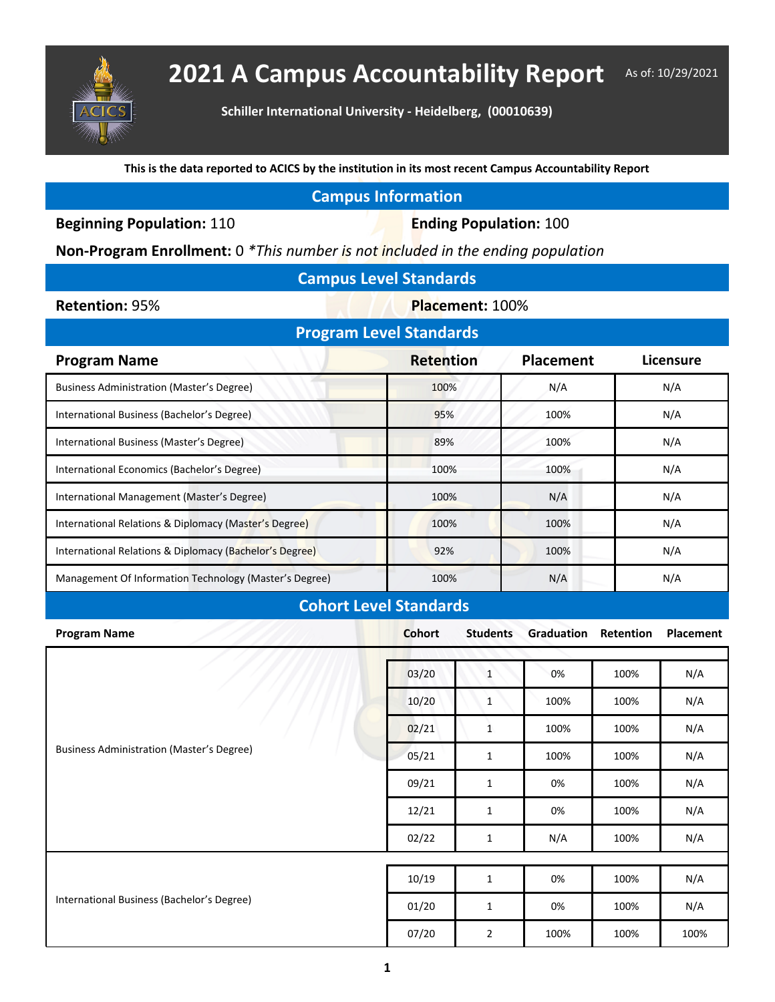

## 2021 A Campus Accountability Report As of: 10/29/2021

**Schiller International University - Heidelberg, (00010639)**

**This is the data reported to ACICS by the institution in its most recent Campus Accountability Report**

## **Campus Information**

**Beginning Population: 110 <b>Ending Population: 100** 

**Non-Program Enrollment:** 0 *\*This number is not included in the ending population*

| <b>Campus Level Standards</b> |  |
|-------------------------------|--|
|-------------------------------|--|

**Retention: 95% <b>Placement: 100%** 

| <b>Program Level Standards</b>                          |                  |                  |           |  |  |  |  |  |
|---------------------------------------------------------|------------------|------------------|-----------|--|--|--|--|--|
| <b>Program Name</b>                                     | <b>Retention</b> | <b>Placement</b> | Licensure |  |  |  |  |  |
| Business Administration (Master's Degree)               | 100%             | N/A              | N/A       |  |  |  |  |  |
| International Business (Bachelor's Degree)              | 95%              | 100%             | N/A       |  |  |  |  |  |
| International Business (Master's Degree)                | 89%              | 100%             | N/A       |  |  |  |  |  |
| International Economics (Bachelor's Degree)             | 100%             | 100%             | N/A       |  |  |  |  |  |
| International Management (Master's Degree)              | 100%             | N/A              | N/A       |  |  |  |  |  |
| International Relations & Diplomacy (Master's Degree)   | 100%             | 100%             | N/A       |  |  |  |  |  |
| International Relations & Diplomacy (Bachelor's Degree) | 92%              | 100%             | N/A       |  |  |  |  |  |
| Management Of Information Technology (Master's Degree)  | 100%             | N/A              | N/A       |  |  |  |  |  |
|                                                         |                  |                  |           |  |  |  |  |  |

## **Cohort Level Standards**

| <b>Program Name</b>                              | <b>Cohort</b> | <b>Students</b> | Graduation | Retention | Placement |
|--------------------------------------------------|---------------|-----------------|------------|-----------|-----------|
| <b>Business Administration (Master's Degree)</b> | 03/20         | $\mathbf{1}$    | 0%         | 100%      | N/A       |
|                                                  | 10/20         | $1\,$           | 100%       | 100%      | N/A       |
|                                                  | 02/21         | $\mathbf{1}$    | 100%       | 100%      | N/A       |
|                                                  | 05/21         | $\mathbf 1$     | 100%       | 100%      | N/A       |
|                                                  | 09/21         | $\mathbf{1}$    | 0%         | 100%      | N/A       |
|                                                  | 12/21         | $\mathbf{1}$    | 0%         | 100%      | N/A       |
|                                                  | 02/22         | $\mathbf{1}$    | N/A        | 100%      | N/A       |
|                                                  |               |                 |            |           |           |
| International Business (Bachelor's Degree)       | 10/19         | $\mathbf{1}$    | 0%         | 100%      | N/A       |
|                                                  | 01/20         | $\mathbf{1}$    | 0%         | 100%      | N/A       |
|                                                  | 07/20         | $\overline{2}$  | 100%       | 100%      | 100%      |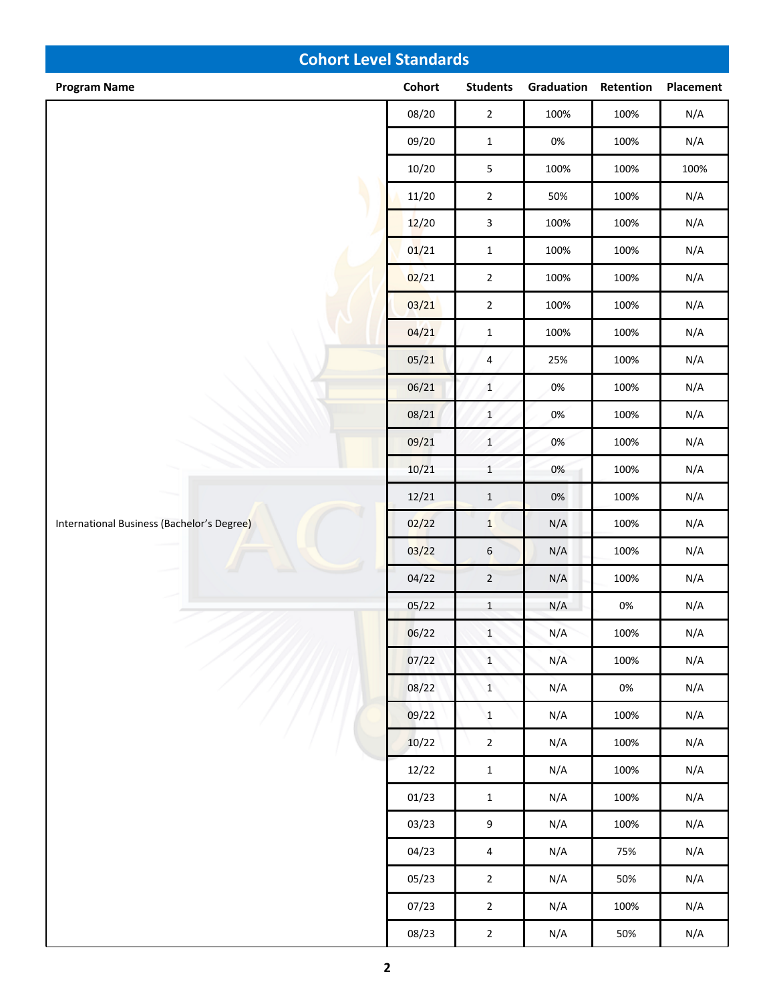| <b>Cohort Level Standards</b>              |        |                  |            |           |           |  |
|--------------------------------------------|--------|------------------|------------|-----------|-----------|--|
| <b>Program Name</b>                        | Cohort | <b>Students</b>  | Graduation | Retention | Placement |  |
|                                            | 08/20  | $\mathbf 2$      | 100%       | 100%      | N/A       |  |
|                                            | 09/20  | $\mathbf 1$      | $0\%$      | 100%      | N/A       |  |
|                                            | 10/20  | $\sqrt{5}$       | 100%       | 100%      | 100%      |  |
|                                            | 11/20  | $\mathbf 2$      | 50%        | 100%      | N/A       |  |
|                                            | 12/20  | $\mathbf{3}$     | 100%       | 100%      | N/A       |  |
|                                            | 01/21  | $\mathbf 1$      | 100%       | 100%      | N/A       |  |
|                                            | 02/21  | $\overline{2}$   | 100%       | 100%      | N/A       |  |
|                                            | 03/21  | $\mathbf 2$      | 100%       | 100%      | N/A       |  |
|                                            | 04/21  | $\mathbf 1$      | 100%       | 100%      | N/A       |  |
|                                            | 05/21  | $\overline{4}$   | 25%        | 100%      | N/A       |  |
|                                            | 06/21  | $\mathbf{1}$     | 0%         | 100%      | N/A       |  |
|                                            | 08/21  | $\mathbf 1$      | 0%         | 100%      | N/A       |  |
|                                            | 09/21  | $\,1\,$          | 0%         | 100%      | N/A       |  |
|                                            | 10/21  | $\,1\,$          | 0%         | 100%      | N/A       |  |
|                                            | 12/21  | $\,1\,$          | $0\%$      | 100%      | N/A       |  |
| International Business (Bachelor's Degree) | 02/22  | $\mathbf{1}$     | N/A        | 100%      | N/A       |  |
|                                            | 03/22  | $\boldsymbol{6}$ | N/A        | 100%      | N/A       |  |
|                                            | 04/22  | $\overline{2}$   | N/A        | 100%      | N/A       |  |
|                                            | 05/22  | $\mathbf{1}$     | N/A        | $0\%$     | N/A       |  |
|                                            | 06/22  | $\mathbf{1}$     | N/A        | 100%      | N/A       |  |
|                                            | 07/22  | $\mathbf{1}$     | N/A        | 100%      | N/A       |  |
|                                            | 08/22  | $\mathbf{1}$     | N/A        | $0\%$     | N/A       |  |
|                                            | 09/22  | $\mathbf{1}$     | N/A        | 100%      | N/A       |  |
|                                            | 10/22  | $\mathbf 2$      | N/A        | 100%      | N/A       |  |
|                                            | 12/22  | $\mathbf 1$      | N/A        | 100%      | N/A       |  |
|                                            | 01/23  | $\mathbf{1}$     | N/A        | 100%      | N/A       |  |
|                                            | 03/23  | $\boldsymbol{9}$ | N/A        | 100%      | N/A       |  |
|                                            | 04/23  | $\overline{4}$   | N/A        | 75%       | N/A       |  |
|                                            | 05/23  | $\mathbf 2$      | N/A        | 50%       | N/A       |  |
|                                            | 07/23  | $\mathbf{2}$     | N/A        | 100%      | N/A       |  |
|                                            | 08/23  | $\overline{2}$   | N/A        | 50%       | N/A       |  |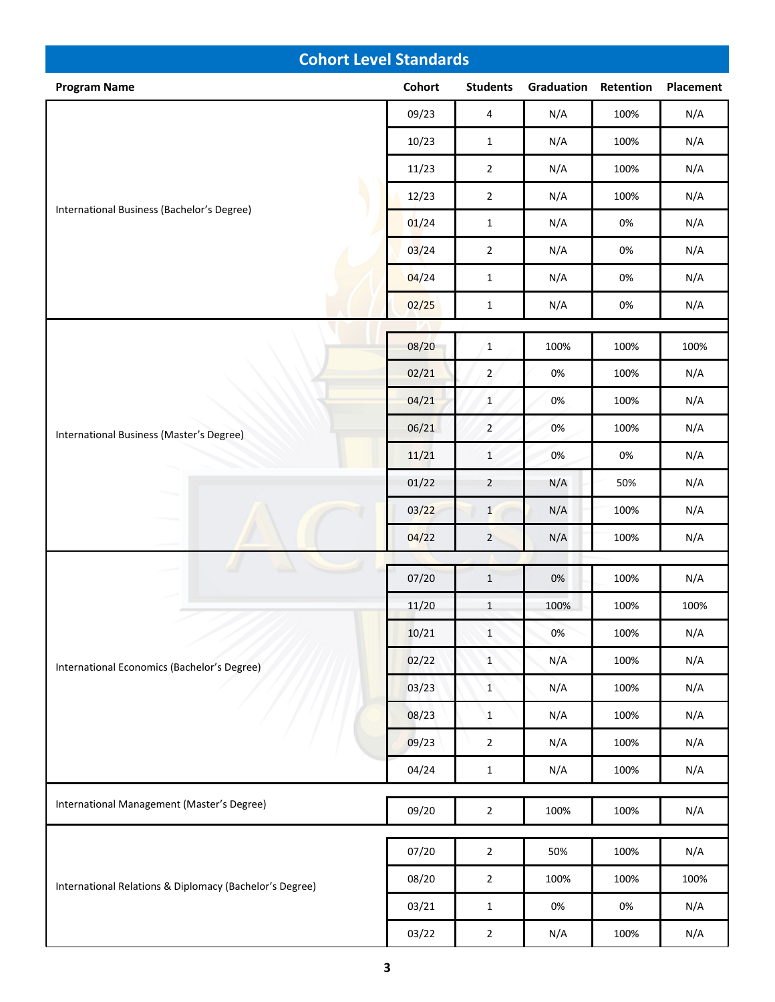| <b>Cohort Level Standards</b>                           |        |                 |            |           |           |
|---------------------------------------------------------|--------|-----------------|------------|-----------|-----------|
| <b>Program Name</b>                                     | Cohort | <b>Students</b> | Graduation | Retention | Placement |
| International Business (Bachelor's Degree)              | 09/23  | $\overline{4}$  | N/A        | 100%      | N/A       |
|                                                         | 10/23  | $\mathbf{1}$    | N/A        | 100%      | N/A       |
|                                                         | 11/23  | $\mathbf 2$     | N/A        | 100%      | N/A       |
|                                                         | 12/23  | $\mathbf 2$     | N/A        | 100%      | N/A       |
|                                                         | 01/24  | $\mathbf{1}$    | N/A        | 0%        | N/A       |
|                                                         | 03/24  | $\mathbf 2$     | N/A        | $0\%$     | N/A       |
|                                                         | 04/24  | $\mathbf{1}$    | N/A        | 0%        | N/A       |
|                                                         | 02/25  | $\mathbf{1}$    | N/A        | 0%        | N/A       |
|                                                         |        |                 |            |           |           |
|                                                         | 08/20  | $\mathbf{1}$    | 100%       | 100%      | 100%      |
|                                                         | 02/21  | $\overline{2}$  | 0%         | 100%      | N/A       |
|                                                         | 04/21  | $\mathbf{1}$    | 0%         | 100%      | N/A       |
| International Business (Master's Degree)                | 06/21  | $\overline{2}$  | 0%         | 100%      | N/A       |
|                                                         | 11/21  | $\mathbf 1$     | 0%         | 0%        | N/A       |
|                                                         | 01/22  | $\overline{2}$  | N/A        | 50%       | N/A       |
|                                                         | 03/22  | $\mathbf{1}$    | N/A        | 100%      | N/A       |
|                                                         | 04/22  | $\overline{2}$  | N/A        | 100%      | N/A       |
|                                                         | 07/20  | $\mathbf{1}$    | $0\%$      | 100%      | N/A       |
|                                                         | 11/20  | $\mathbf{1}$    | 100%       | 100%      | 100%      |
|                                                         | 10/21  | $\mathbf{1}$    | 0%         | 100%      | N/A       |
| International Economics (Bachelor's Degree)             | 02/22  | $\mathbf{1}$    | N/A        | 100%      | N/A       |
|                                                         | 03/23  | $\mathbf{1}$    | N/A        | 100%      | N/A       |
|                                                         | 08/23  | $\mathbf{1}$    | N/A        | 100%      | N/A       |
|                                                         | 09/23  | $\overline{2}$  | N/A        | 100%      | N/A       |
|                                                         | 04/24  | $\mathbf{1}$    | N/A        | 100%      | N/A       |
| International Management (Master's Degree)              |        |                 |            |           |           |
|                                                         | 09/20  | $\overline{2}$  | 100%       | 100%      | N/A       |
|                                                         | 07/20  | $\overline{2}$  | 50%        | 100%      | N/A       |
| International Relations & Diplomacy (Bachelor's Degree) | 08/20  | $\overline{2}$  | 100%       | 100%      | 100%      |
|                                                         | 03/21  | $\mathbf{1}$    | 0%         | 0%        | N/A       |
|                                                         | 03/22  | $\sqrt{2}$      | N/A        | 100%      | N/A       |